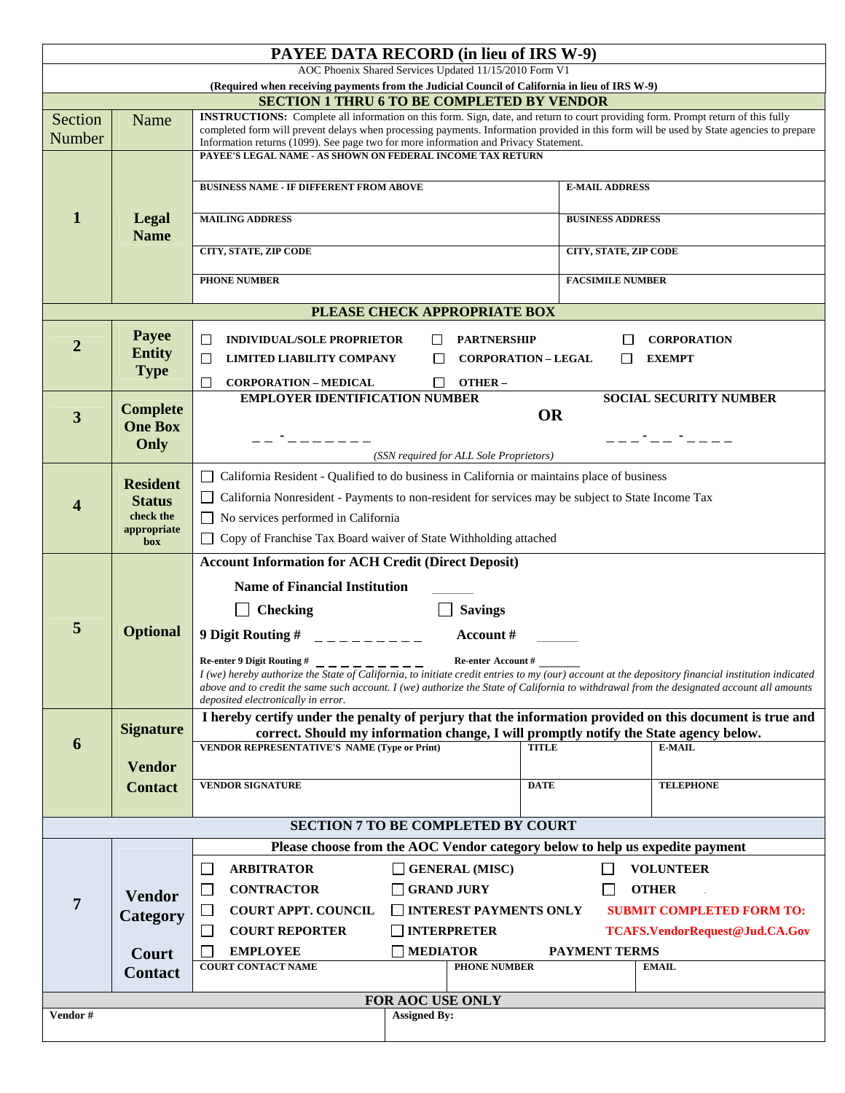|                                                                                                                                                    | <b>PAYEE DATA RECORD</b> (in lieu of IRS W-9)                                                            |                                                                                                                                                                                                                                  |                              |                                |  |  |
|----------------------------------------------------------------------------------------------------------------------------------------------------|----------------------------------------------------------------------------------------------------------|----------------------------------------------------------------------------------------------------------------------------------------------------------------------------------------------------------------------------------|------------------------------|--------------------------------|--|--|
|                                                                                                                                                    |                                                                                                          | AOC Phoenix Shared Services Updated 11/15/2010 Form V1                                                                                                                                                                           |                              |                                |  |  |
| (Required when receiving payments from the Judicial Council of California in lieu of IRS W-9)<br><b>SECTION 1 THRU 6 TO BE COMPLETED BY VENDOR</b> |                                                                                                          |                                                                                                                                                                                                                                  |                              |                                |  |  |
| Section                                                                                                                                            | Name                                                                                                     | INSTRUCTIONS: Complete all information on this form. Sign, date, and return to court providing form. Prompt return of this fully                                                                                                 |                              |                                |  |  |
| Number                                                                                                                                             |                                                                                                          | completed form will prevent delays when processing payments. Information provided in this form will be used by State agencies to prepare<br>Information returns (1099). See page two for more information and Privacy Statement. |                              |                                |  |  |
|                                                                                                                                                    |                                                                                                          | PAYEE'S LEGAL NAME - AS SHOWN ON FEDERAL INCOME TAX RETURN                                                                                                                                                                       |                              |                                |  |  |
|                                                                                                                                                    |                                                                                                          |                                                                                                                                                                                                                                  |                              |                                |  |  |
|                                                                                                                                                    |                                                                                                          | <b>BUSINESS NAME - IF DIFFERENT FROM ABOVE</b>                                                                                                                                                                                   | <b>E-MAIL ADDRESS</b>        |                                |  |  |
| 1                                                                                                                                                  |                                                                                                          | <b>MAILING ADDRESS</b>                                                                                                                                                                                                           |                              | <b>BUSINESS ADDRESS</b>        |  |  |
|                                                                                                                                                    | Legal<br><b>Name</b>                                                                                     |                                                                                                                                                                                                                                  |                              |                                |  |  |
|                                                                                                                                                    |                                                                                                          | <b>CITY, STATE, ZIP CODE</b>                                                                                                                                                                                                     | <b>CITY, STATE, ZIP CODE</b> |                                |  |  |
|                                                                                                                                                    |                                                                                                          | <b>PHONE NUMBER</b>                                                                                                                                                                                                              | <b>FACSIMILE NUMBER</b>      |                                |  |  |
|                                                                                                                                                    |                                                                                                          |                                                                                                                                                                                                                                  |                              |                                |  |  |
| PLEASE CHECK APPROPRIATE BOX                                                                                                                       |                                                                                                          |                                                                                                                                                                                                                                  |                              |                                |  |  |
|                                                                                                                                                    | Payee                                                                                                    | <b>INDIVIDUAL/SOLE PROPRIETOR</b><br><b>PARTNERSHIP</b><br>$\Box$                                                                                                                                                                |                              | <b>CORPORATION</b>             |  |  |
| $\overline{2}$                                                                                                                                     | <b>Entity</b>                                                                                            | <b>LIMITED LIABILITY COMPANY</b><br><b>CORPORATION - LEGAL</b><br>$\Box$                                                                                                                                                         | ΙI                           | <b>EXEMPT</b>                  |  |  |
|                                                                                                                                                    | <b>Type</b>                                                                                              |                                                                                                                                                                                                                                  |                              |                                |  |  |
| <b>CORPORATION - MEDICAL</b><br>OTHER-<br>$\Box$<br><b>EMPLOYER IDENTIFICATION NUMBER</b><br><b>SOCIAL SECURITY NUMBER</b>                         |                                                                                                          |                                                                                                                                                                                                                                  |                              |                                |  |  |
| 3                                                                                                                                                  | <b>Complete</b>                                                                                          | <b>OR</b>                                                                                                                                                                                                                        |                              |                                |  |  |
|                                                                                                                                                    | <b>One Box</b>                                                                                           | . <sub>.</sub> .                                                                                                                                                                                                                 |                              | __-__ <i>-_</i> __             |  |  |
|                                                                                                                                                    | Only                                                                                                     | (SSN required for ALL Sole Proprietors)                                                                                                                                                                                          |                              |                                |  |  |
|                                                                                                                                                    |                                                                                                          | California Resident - Qualified to do business in California or maintains place of business                                                                                                                                      |                              |                                |  |  |
|                                                                                                                                                    | <b>Resident</b><br><b>Status</b><br>check the                                                            | California Nonresident - Payments to non-resident for services may be subject to State Income Tax                                                                                                                                |                              |                                |  |  |
| 4                                                                                                                                                  |                                                                                                          | $\Box$ No services performed in California                                                                                                                                                                                       |                              |                                |  |  |
|                                                                                                                                                    | appropriate                                                                                              | □ Copy of Franchise Tax Board waiver of State Withholding attached                                                                                                                                                               |                              |                                |  |  |
|                                                                                                                                                    | box                                                                                                      |                                                                                                                                                                                                                                  |                              |                                |  |  |
|                                                                                                                                                    |                                                                                                          | <b>Account Information for ACH Credit (Direct Deposit)</b>                                                                                                                                                                       |                              |                                |  |  |
|                                                                                                                                                    |                                                                                                          | <b>Name of Financial Institution</b>                                                                                                                                                                                             |                              |                                |  |  |
| 5                                                                                                                                                  |                                                                                                          | <b>Checking</b><br><b>Savings</b>                                                                                                                                                                                                |                              |                                |  |  |
|                                                                                                                                                    | <b>Optional</b>                                                                                          | 9 Digit Routing # $\qquad$ _ _ _ _ _ _ _ _ _<br>Account #                                                                                                                                                                        |                              |                                |  |  |
|                                                                                                                                                    |                                                                                                          | Re-enter 9 Digit Routing #<br>Re-enter Account #                                                                                                                                                                                 |                              |                                |  |  |
|                                                                                                                                                    |                                                                                                          | I (we) hereby authorize the State of California, to initiate credit entries to my (our) account at the depository financial institution indicated                                                                                |                              |                                |  |  |
|                                                                                                                                                    |                                                                                                          | above and to credit the same such account. I (we) authorize the State of California to withdrawal from the designated account all amounts<br>deposited electronically in error.                                                  |                              |                                |  |  |
|                                                                                                                                                    | I hereby certify under the penalty of perjury that the information provided on this document is true and |                                                                                                                                                                                                                                  |                              |                                |  |  |
| 6                                                                                                                                                  | <b>Signature</b>                                                                                         | correct. Should my information change, I will promptly notify the State agency below.<br><b>VENDOR REPRESENTATIVE'S NAME (Type or Print)</b><br><b>TITLE</b>                                                                     |                              | E-MAIL                         |  |  |
|                                                                                                                                                    |                                                                                                          |                                                                                                                                                                                                                                  |                              |                                |  |  |
|                                                                                                                                                    | <b>Vendor</b>                                                                                            | <b>VENDOR SIGNATURE</b><br><b>DATE</b>                                                                                                                                                                                           |                              | <b>TELEPHONE</b>               |  |  |
|                                                                                                                                                    | <b>Contact</b>                                                                                           |                                                                                                                                                                                                                                  |                              |                                |  |  |
| <b>SECTION 7 TO BE COMPLETED BY COURT</b>                                                                                                          |                                                                                                          |                                                                                                                                                                                                                                  |                              |                                |  |  |
| Please choose from the AOC Vendor category below to help us expedite payment                                                                       |                                                                                                          |                                                                                                                                                                                                                                  |                              |                                |  |  |
|                                                                                                                                                    | <b>Vendor</b><br>Category                                                                                | <b>ARBITRATOR</b><br>$\Box$ GENERAL (MISC)<br>L.                                                                                                                                                                                 |                              | <b>VOLUNTEER</b>               |  |  |
|                                                                                                                                                    |                                                                                                          |                                                                                                                                                                                                                                  |                              |                                |  |  |
| $\overline{7}$                                                                                                                                     |                                                                                                          | <b>CONTRACTOR</b><br><b>GRAND JURY</b><br><b>OTHER</b><br>$\Box$                                                                                                                                                                 |                              |                                |  |  |
|                                                                                                                                                    |                                                                                                          | $\Box$ INTEREST PAYMENTS ONLY<br><b>COURT APPT. COUNCIL</b><br><b>SUBMIT COMPLETED FORM TO:</b><br>⊔                                                                                                                             |                              |                                |  |  |
|                                                                                                                                                    |                                                                                                          | $\Box$ INTERPRETER<br>$\Box$<br><b>COURT REPORTER</b>                                                                                                                                                                            |                              | TCAFS.VendorRequest@Jud.CA.Gov |  |  |
|                                                                                                                                                    | Court                                                                                                    | <b>EMPLOYEE</b><br><b>MEDIATOR</b><br><b>COURT CONTACT NAME</b><br><b>PHONE NUMBER</b>                                                                                                                                           | <b>PAYMENT TERMS</b>         | <b>EMAIL</b>                   |  |  |
|                                                                                                                                                    | <b>Contact</b>                                                                                           |                                                                                                                                                                                                                                  |                              |                                |  |  |
| FOR AOC USE ONLY                                                                                                                                   |                                                                                                          |                                                                                                                                                                                                                                  |                              |                                |  |  |
| Vendor #                                                                                                                                           | <b>Assigned By:</b>                                                                                      |                                                                                                                                                                                                                                  |                              |                                |  |  |
|                                                                                                                                                    |                                                                                                          |                                                                                                                                                                                                                                  |                              |                                |  |  |